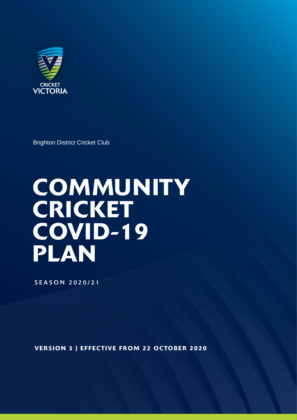

Brighton District Cricket Club

# **COMMUNITY CRICKET** COVID-19 PLAN

SEASON 2020/21

VERSION 3 | EFFECTIVE FROM 22 OCTOBER 2020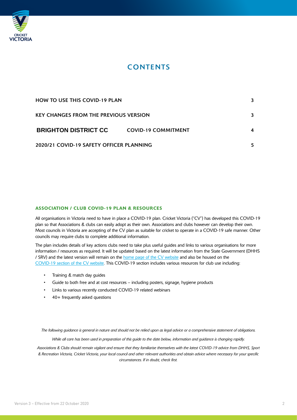

## **CONTENTS**

| <b>HOW TO USE THIS COVID-19 PLAN</b>         |                            | 3  |
|----------------------------------------------|----------------------------|----|
| <b>KEY CHANGES FROM THE PREVIOUS VERSION</b> |                            | 3. |
| <b>BRIGHTON DISTRICT CC</b>                  | <b>COVID-19 COMMITMENT</b> |    |
| 2020/21 COVID-19 SAFETY OFFICER PLANNING     |                            |    |

### ASSOCIATION / CLUB COVID-19 PLAN & RESOURCES

All organisations in Victoria need to have in place a COVID-19 plan. Cricket Victoria ("CV") has developed this COVID-19 plan so that Associations & clubs can easily adopt as their own. Associations and clubs however can develop their own. Most councils in Victoria are accepting of the CV plan as suitable for cricket to operate in a COVID-19 safe manner. Other councils may require clubs to complete additional information.

The plan includes details of key actions clubs need to take plus useful guides and links to various organisations for more information / resources as required. It will be updated based on the latest information from the State Government (DHHS / SRV) and the latest version will remain on the [home page of the CV website](https://www.cricketvictoria.com.au/) and also be housed on the [COVID-19 section of the CV website.](https://www.cricketvictoria.com.au/clubs-support/covid-19/) This COVID-19 section includes various resources for club use including:

- Training & match day guides
- Guide to both free and at cost resources including posters, signage, hygiene products
- Links to various recently conducted COVID-19 related webinars
- 40+ frequently asked questions

*The following guidance is general in nature and should not be relied upon as legal advice or a comprehensive statement of obligations.*

*While all care has been used in preparation of this guide to the date below, information and guidance is changing rapidly.*

*Associations & Clubs should remain vigilant and ensure that they familiarise themselves with the latest COVID-19 advice from DHHS, Sport & Recreation Victoria, Cricket Victoria, your local council and other relevant authorities and obtain advice where necessary for your specific circumstances. If in doubt, check first.*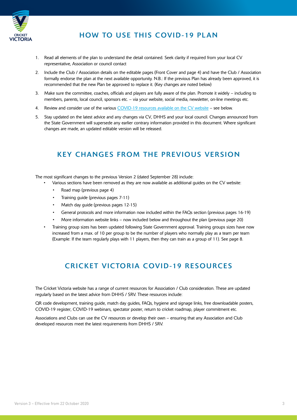

## HOW TO USE THIS COVID-19 PLAN

- 1. Read all elements of the plan to understand the detail contained. Seek clarity if required from your local CV representative, Association or council contact
- 2. Include the Club / Association details on the editable pages (Front Cover and page 4) and have the Club / Association formally endorse the plan at the next available opportunity. N.B.: If the previous Plan has already been approved, it is recommended that the new Plan be approved to replace it. (Key changes are noted below)
- 3. Make sure the committee, coaches, officials and players are fully aware of the plan. Promote it widely including to members, parents, local council, sponsors etc. – via your website, social media, newsletter, on-line meetings etc.
- 4. Review and consider use of the various [COVID-19 resources available on the CV website –](https://www.cricketvictoria.com.au/clubs-support/covid-19/) see below.
- 5. Stay updated on the latest advice and any changes via CV, DHHS and your local council. Changes announced from the State Government will supersede any earlier contrary information provided in this document. Where significant changes are made, an updated editable version will be released.

## KEY CHANGES FROM THE PREVIOUS VERSION

The most significant changes to the previous Version 2 (dated September 28) include:

- Various sections have been removed as they are now available as additional guides on the CV website:
	- Road map (previous page 4)
	- Training guide (previous pages 7-11)
	- Match day guide (previous pages 12-15)
	- General protocols and more information now included within the FAQs section (previous pages 16-19)
	- More information website links now included below and throughout the plan (previous page 20)
- Training group sizes has been updated following State Government approval. Training groups sizes have now increased from a max. of 10 per group to be the number of players who normally play as a team per team (Example: If the team regularly plays with 11 players, then they can train as a group of 11). See page 8.

## CRICKET VICTORIA COVID-19 RESOURCES

The Cricket Victoria website has a range of current resources for Association / Club consideration. These are updated regularly based on the latest advice from DHHS / SRV. These resources include:

QR code development, training guide, match day guides, FAQs, hygiene and signage links, free downloadable posters, COVID-19 register, COVID-19 webinars, spectator poster, return to cricket roadmap, player commitment etc.

Associations and Clubs can use the CV resources or develop their own – ensuring that any Association and Club developed resources meet the latest requirements from DHHS / SRV.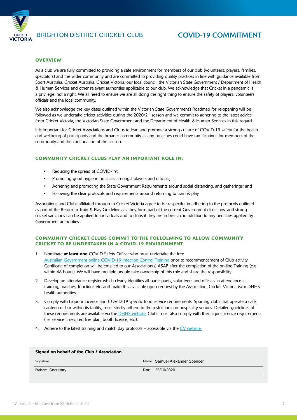

#### **OVERVIEW**

As a club we are fully committed to providing a safe environment for members of our club (volunteers, players, families, spectators) and the wider community and are committed to providing quality practices in line with guidance available from Sport Australia, Cricket Australia, Cricket Victoria, our local council, the Victorian State Government / Department of Health & Human Services and other relevant authorities applicable to our club. We acknowledge that Cricket in a pandemic is a privilege, not a right. We all need to ensure we are all doing the right thing to ensure the safety of players, volunteers, officials and the local community.

We also acknowledge the key dates outlined within the Victorian State Government's Roadmap for re-opening will be followed as we undertake cricket activities during the 2020/21 season and we commit to adhering to the latest advice from Cricket Victoria, the Victorian State Government and the Department of Health & Human Services in this regard.

It is important for Cricket Associations and Clubs to lead and promote a strong culture of COVID-19 safety for the health and wellbeing of participants and the broader community as any breaches could have ramifications for members of the community and the continuation of the season.

#### COMMUNITY CRICKET CLUBS PLAY AN IMPORTANT ROLE IN:

- Reducing the spread of COVID-19;
- Promoting good hygiene practices amongst players and officials;
- Adhering and promoting the State Government Requirements around social distancing, and gatherings; and
- Following the clear protocols and requirements around returning to train & play.

Associations and Clubs affiliated through to Cricket Victoria agree to be respectful in adhering to the protocols outlined as part of the Return to Train & Play Guidelines as they form part of the current Government directions, and strong cricket sanctions can be applied to individuals and to clubs if they are in breach, in addition to any penalties applied by Government authorities.

#### COMMUNITY CRICKET CLUBS COMMIT TO THE FOLLOLWING TO ALLOW COMMUNITY CRICKET TO BE UNDERTAKEN IN A COVID-19 ENVIRONMENT

- 1. Nominate at least one COVID Safety Officer who must undertake the free [Australian Government online COVID-19 Infection Control Training](https://www.health.gov.au/resources/apps-and-tools/covid-19-infection-control-training) prior to recommencement of Club activity. Certificate of completion will be emailed to our Association(s) ASAP after the completion of the on-line Training (e.g. within 48 hours). We will have multiple people take ownership of this role and share the responsibility.
- 2. Develop an attendance register which clearly identifies all participants, volunteers and officials in attendance at training, matches, functions etc. and make this available upon request by the Association, Cricket Victoria &/or DHHS health authorities.
- 3. Comply with Liquour Licence and COVID-19 specific food service requirements. Sporting clubs that operate a café, canteen or bar within its facility, must strictly adhere to the restrictions on hospitality venues. Detailed guidelines of these requirements are available via the **DHHS** website. Clubs must also comply with their liquor licence requirements (i.e. service times, red line plan, booth licence, etc.).
- 4. Adhere to the latest training and match day protocols accessible via the [CV website.](https://www.cricketvictoria.com.au/clubs-support/covid-19/)

| Signed on behalf of the Club / Association  |                                                                           |                                |
|---------------------------------------------|---------------------------------------------------------------------------|--------------------------------|
| Signature: Samuel Alexander Spencer Spencer | Digitally signed by Samuel Alexander<br>Date: 2020.10.25 15:48:44 +11'00' | Name: Samuel Alexander Spencer |
| Position: Secretary                         |                                                                           | Date: 25/10/2020               |